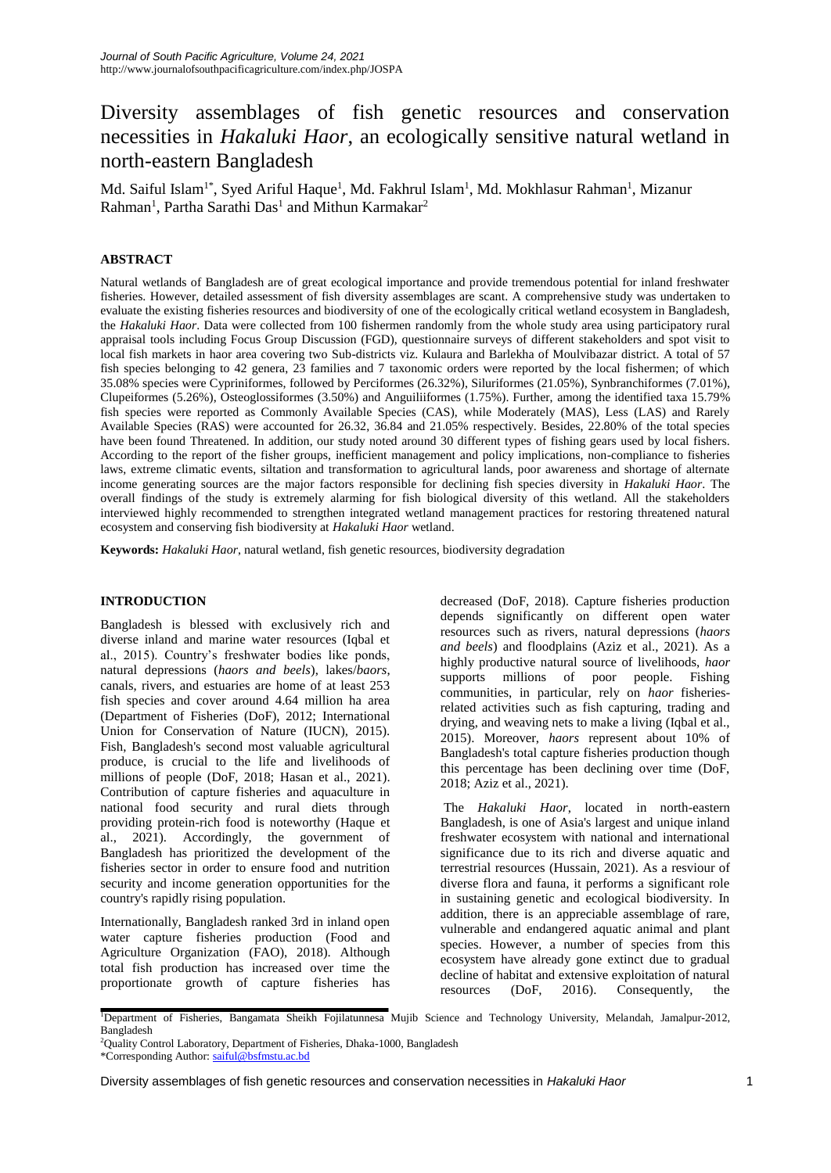# Diversity assemblages of fish genetic resources and conservation necessities in *Hakaluki Haor*, an ecologically sensitive natural wetland in north-eastern Bangladesh

Md. Saiful Islam<sup>1\*</sup>, Syed Ariful Haque<sup>1</sup>, Md. Fakhrul Islam<sup>1</sup>, Md. Mokhlasur Rahman<sup>1</sup>, Mizanur Rahman<sup>1</sup>, Partha Sarathi Das<sup>1</sup> and Mithun Karmakar<sup>2</sup>

## **ABSTRACT**

Natural wetlands of Bangladesh are of great ecological importance and provide tremendous potential for inland freshwater fisheries. However, detailed assessment of fish diversity assemblages are scant. A comprehensive study was undertaken to evaluate the existing fisheries resources and biodiversity of one of the ecologically critical wetland ecosystem in Bangladesh, the *Hakaluki Haor*. Data were collected from 100 fishermen randomly from the whole study area using participatory rural appraisal tools including Focus Group Discussion (FGD), questionnaire surveys of different stakeholders and spot visit to local fish markets in haor area covering two Sub-districts viz. Kulaura and Barlekha of Moulvibazar district. A total of 57 fish species belonging to 42 genera, 23 families and 7 taxonomic orders were reported by the local fishermen; of which 35.08% species were Cypriniformes, followed by Perciformes (26.32%), Siluriformes (21.05%), Synbranchiformes (7.01%), Clupeiformes (5.26%), Osteoglossiformes (3.50%) and Anguiliiformes (1.75%). Further, among the identified taxa 15.79% fish species were reported as Commonly Available Species (CAS), while Moderately (MAS), Less (LAS) and Rarely Available Species (RAS) were accounted for 26.32, 36.84 and 21.05% respectively. Besides, 22.80% of the total species have been found Threatened. In addition, our study noted around 30 different types of fishing gears used by local fishers. According to the report of the fisher groups, inefficient management and policy implications, non-compliance to fisheries laws, extreme climatic events, siltation and transformation to agricultural lands, poor awareness and shortage of alternate income generating sources are the major factors responsible for declining fish species diversity in *Hakaluki Haor*. The overall findings of the study is extremely alarming for fish biological diversity of this wetland. All the stakeholders interviewed highly recommended to strengthen integrated wetland management practices for restoring threatened natural ecosystem and conserving fish biodiversity at *Hakaluki Haor* wetland.

**Keywords:** *Hakaluki Haor*, natural wetland, fish genetic resources, biodiversity degradation

## **INTRODUCTION**

Bangladesh is blessed with exclusively rich and diverse inland and marine water resources (Iqbal et al., 2015). Country's freshwater bodies like ponds, natural depressions (*haors and beels*), lakes/*baors*, canals, rivers, and estuaries are home of at least 253 fish species and cover around 4.64 million ha area (Department of Fisheries (DoF), 2012; International Union for Conservation of Nature (IUCN), 2015). Fish, Bangladesh's second most valuable agricultural produce, is crucial to the life and livelihoods of millions of people (DoF, 2018; Hasan et al., 2021). Contribution of capture fisheries and aquaculture in national food security and rural diets through providing protein-rich food is noteworthy (Haque et al., 2021). Accordingly, the government of Bangladesh has prioritized the development of the fisheries sector in order to ensure food and nutrition security and income generation opportunities for the country's rapidly rising population.

Internationally, Bangladesh ranked 3rd in inland open water capture fisheries production (Food and Agriculture Organization (FAO), 2018). Although total fish production has increased over time the proportionate growth of capture fisheries has

decreased (DoF, 2018). Capture fisheries production depends significantly on different open water resources such as rivers, natural depressions (*haors and beels*) and floodplains (Aziz et al., 2021). As a highly productive natural source of livelihoods, *haor*  supports millions of poor people. Fishing communities, in particular, rely on *haor* fisheriesrelated activities such as fish capturing, trading and drying, and weaving nets to make a living (Iqbal et al., 2015). Moreover, *haors* represent about 10% of Bangladesh's total capture fisheries production though this percentage has been declining over time (DoF, 2018; Aziz et al., 2021).

The *Hakaluki Haor*, located in north-eastern Bangladesh, is one of Asia's largest and unique inland freshwater ecosystem with national and international significance due to its rich and diverse aquatic and terrestrial resources (Hussain, 2021). As a resviour of diverse flora and fauna, it performs a significant role in sustaining genetic and ecological biodiversity. In addition, there is an appreciable assemblage of rare, vulnerable and endangered aquatic animal and plant species. However, a number of species from this ecosystem have already gone extinct due to gradual decline of habitat and extensive exploitation of natural resources (DoF, 2016). Consequently, the

<sup>1</sup>Department of Fisheries, Bangamata Sheikh Fojilatunnesa Mujib Science and Technology University, Melandah, Jamalpur-2012, Bangladesh

<sup>2</sup>Quality Control Laboratory, Department of Fisheries, Dhaka-1000, Bangladesh \*Corresponding Author[: saiful@bsfmstu.ac.bd](mailto:saiful@bsfmstu.ac.bd)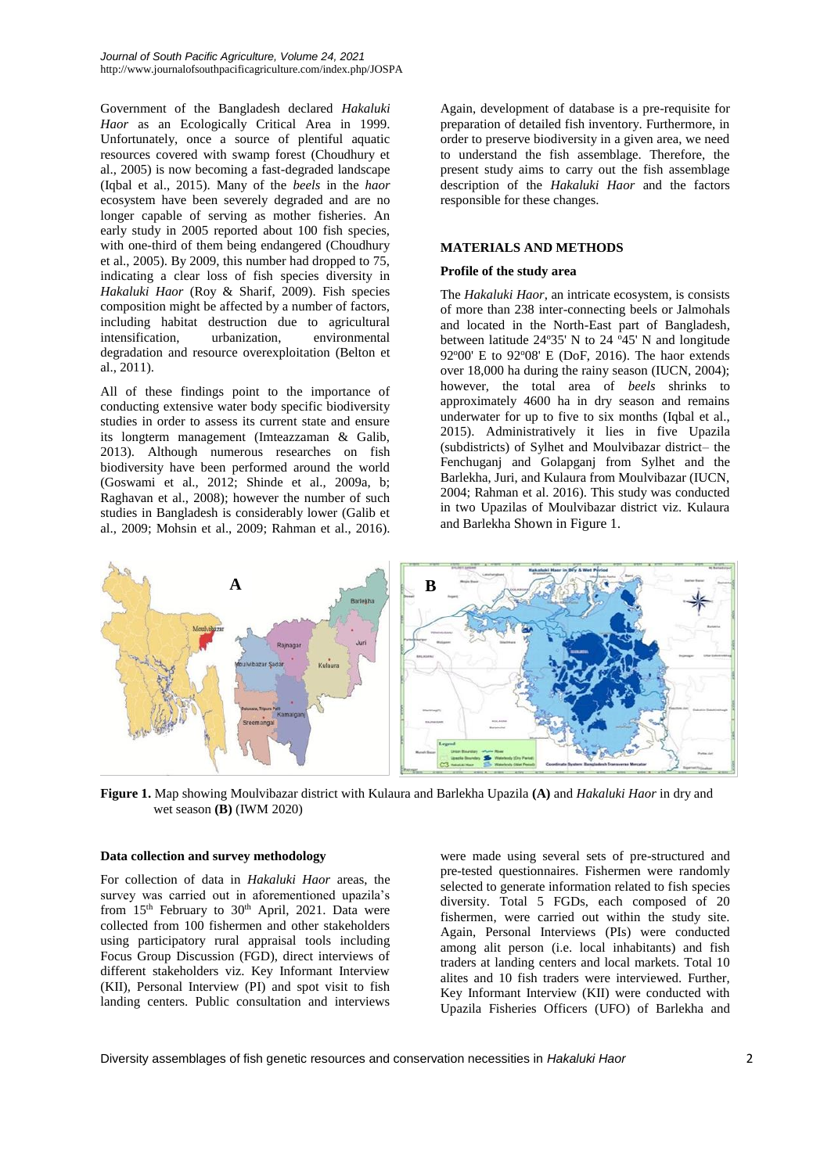Government of the Bangladesh declared *Hakaluki Haor* as an Ecologically Critical Area in 1999. Unfortunately, once a source of plentiful aquatic resources covered with swamp forest (Choudhury et al., 2005) is now becoming a fast-degraded landscape (Iqbal et al., 2015). Many of the *beels* in the *haor*  ecosystem have been severely degraded and are no longer capable of serving as mother fisheries. An early study in 2005 reported about 100 fish species, with one-third of them being endangered (Choudhury et al., 2005). By 2009, this number had dropped to 75, indicating a clear loss of fish species diversity in *Hakaluki Haor* (Roy & Sharif, 2009). Fish species composition might be affected by a number of factors, including habitat destruction due to agricultural intensification, urbanization, environmental intensification, urbanization, degradation and resource overexploitation (Belton et al., 2011).

All of these findings point to the importance of conducting extensive water body specific biodiversity studies in order to assess its current state and ensure its longterm management (Imteazzaman & Galib, 2013). Although numerous researches on fish biodiversity have been performed around the world (Goswami et al., 2012; Shinde et al., 2009a, b; Raghavan et al., 2008); however the number of such studies in Bangladesh is considerably lower (Galib et al., 2009; Mohsin et al., 2009; Rahman et al., 2016).

Again, development of database is a pre-requisite for preparation of detailed fish inventory. Furthermore, in order to preserve biodiversity in a given area, we need to understand the fish assemblage. Therefore, the present study aims to carry out the fish assemblage description of the *Hakaluki Haor* and the factors responsible for these changes.

## **MATERIALS AND METHODS**

## **Profile of the study area**

The *Hakaluki Haor*, an intricate ecosystem, is consists of more than 238 inter-connecting beels or Jalmohals and located in the North-East part of Bangladesh, between latitude  $24^{\circ}35'$  N to  $24^{\circ}45'$  N and longitude  $92^{\circ}00'$  E to  $92^{\circ}08'$  E (DoF, 2016). The haor extends over 18,000 ha during the rainy season (IUCN, 2004); however, the total area of *beels* shrinks to approximately 4600 ha in dry season and remains underwater for up to five to six months (Iqbal et al., 2015). Administratively it lies in five Upazila (subdistricts) of Sylhet and Moulvibazar district– the Fenchuganj and Golapganj from Sylhet and the Barlekha, Juri, and Kulaura from Moulvibazar (IUCN, 2004; Rahman et al. 2016). This study was conducted in two Upazilas of Moulvibazar district viz. Kulaura and Barlekha Shown in Figure 1.



**Figure 1.** Map showing Moulvibazar district with Kulaura and Barlekha Upazila **(A)** and *Hakaluki Haor* in dry and wet season **(B)** (IWM 2020)

## **Data collection and survey methodology**

For collection of data in *Hakaluki Haor* areas, the survey was carried out in aforementioned upazila's from  $15<sup>th</sup>$  February to  $30<sup>th</sup>$  April, 2021. Data were collected from 100 fishermen and other stakeholders using participatory rural appraisal tools including Focus Group Discussion (FGD), direct interviews of different stakeholders viz. Key Informant Interview (KII), Personal Interview (PI) and spot visit to fish landing centers. Public consultation and interviews

were made using several sets of pre-structured and pre-tested questionnaires. Fishermen were randomly selected to generate information related to fish species diversity. Total 5 FGDs, each composed of 20 fishermen, were carried out within the study site. Again, Personal Interviews (PIs) were conducted among alit person (i.e. local inhabitants) and fish traders at landing centers and local markets. Total 10 alites and 10 fish traders were interviewed. Further, Key Informant Interview (KII) were conducted with Upazila Fisheries Officers (UFO) of Barlekha and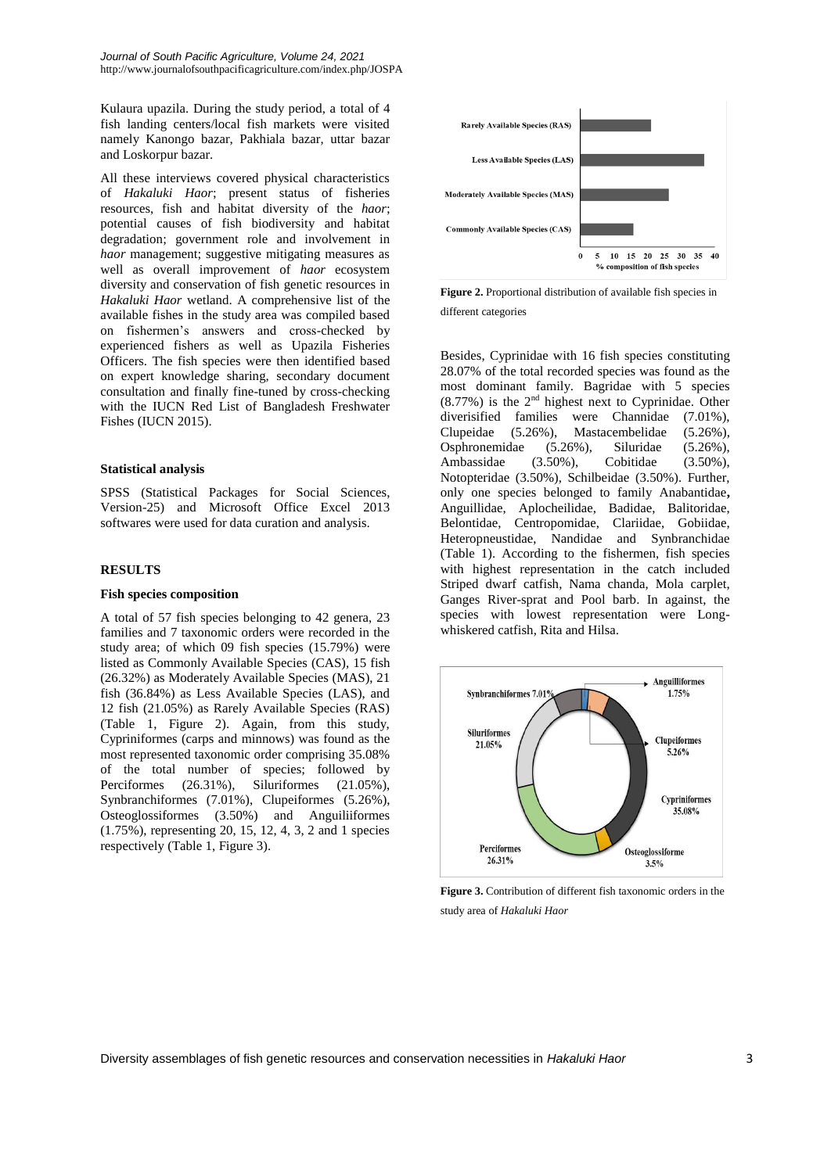Kulaura upazila. During the study period, a total of 4 fish landing centers/local fish markets were visited namely Kanongo bazar, Pakhiala bazar, uttar bazar and Loskorpur bazar.

All these interviews covered physical characteristics of *Hakaluki Haor*; present status of fisheries resources, fish and habitat diversity of the *haor*; potential causes of fish biodiversity and habitat degradation; government role and involvement in *haor* management; suggestive mitigating measures as well as overall improvement of *haor* ecosystem diversity and conservation of fish genetic resources in *Hakaluki Haor* wetland. A comprehensive list of the available fishes in the study area was compiled based on fishermen's answers and cross-checked by experienced fishers as well as Upazila Fisheries Officers. The fish species were then identified based on expert knowledge sharing, secondary document consultation and finally fine-tuned by cross-checking with the IUCN Red List of Bangladesh Freshwater Fishes (IUCN 2015).

## **Statistical analysis**

SPSS (Statistical Packages for Social Sciences, Version-25) and Microsoft Office Excel 2013 softwares were used for data curation and analysis.

## **RESULTS**

## **Fish species composition**

A total of 57 fish species belonging to 42 genera, 23 families and 7 taxonomic orders were recorded in the study area; of which 09 fish species (15.79%) were listed as Commonly Available Species (CAS), 15 fish (26.32%) as Moderately Available Species (MAS), 21 fish (36.84%) as Less Available Species (LAS), and 12 fish (21.05%) as Rarely Available Species (RAS) (Table 1, Figure 2). Again, from this study, Cypriniformes (carps and minnows) was found as the most represented taxonomic order comprising 35.08% of the total number of species; followed by Perciformes (26.31%), Siluriformes (21.05%), Synbranchiformes (7.01%), Clupeiformes (5.26%), Osteoglossiformes (3.50%) and Anguiliiformes (1.75%), representing 20, 15, 12, 4, 3, 2 and 1 species respectively (Table 1, Figure 3).



**Figure 2.** Proportional distribution of available fish species in different categories

Besides, Cyprinidae with 16 fish species constituting 28.07% of the total recorded species was found as the most dominant family. Bagridae with 5 species  $(8.77%)$  is the  $2<sup>nd</sup>$  highest next to Cyprinidae. Other diverisified families were Channidae (7.01%), Clupeidae (5.26%), Mastacembelidae (5.26%), Osphronemidae (5.26%), Siluridae (5.26%), Ambassidae (3.50%), Cobitidae (3.50%), Notopteridae (3.50%), Schilbeidae (3.50%). Further, only one species belonged to family Anabantidae**,**  Anguillidae, Aplocheilidae, Badidae, Balitoridae, Belontidae, Centropomidae, Clariidae, Gobiidae, Heteropneustidae, Nandidae and Synbranchidae (Table 1). According to the fishermen, fish species with highest representation in the catch included Striped dwarf catfish, Nama chanda, Mola carplet, Ganges River-sprat and Pool barb. In against, the species with lowest representation were Longwhiskered catfish, Rita and Hilsa.



**Figure 3.** Contribution of different fish taxonomic orders in the study area of *Hakaluki Haor*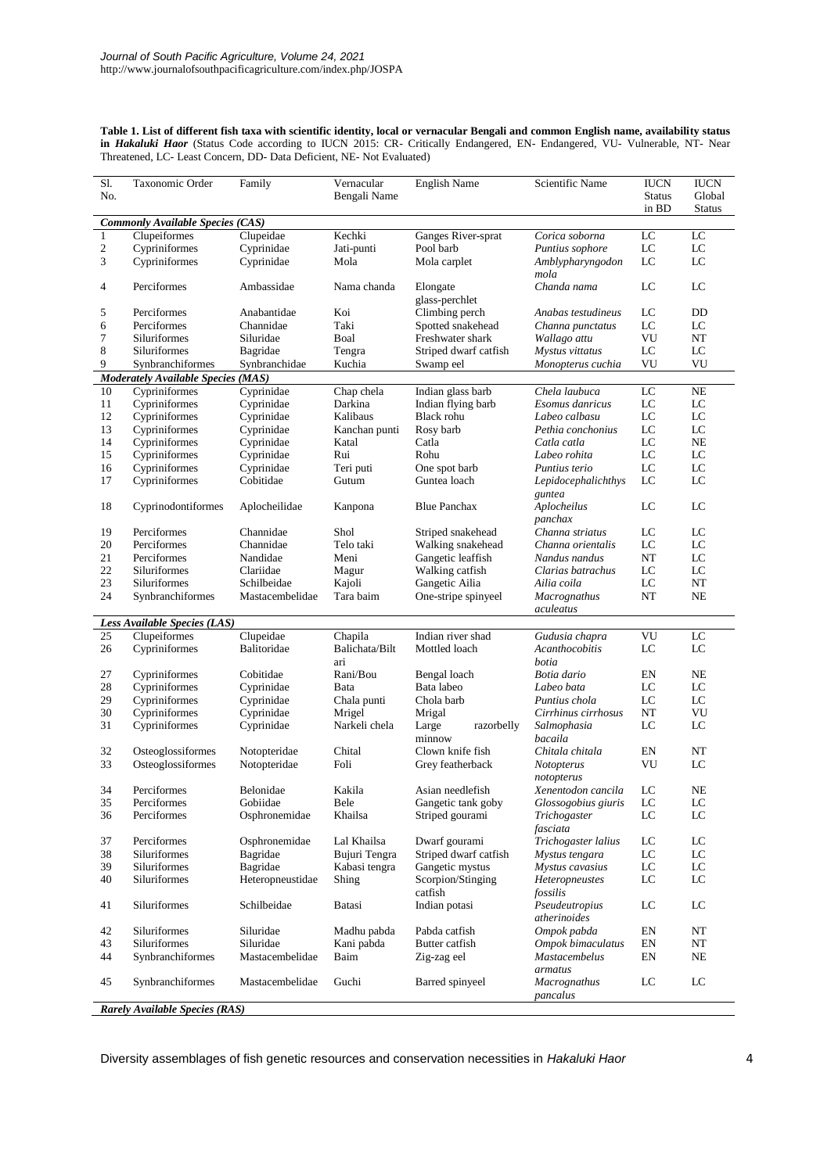**Table 1. List of different fish taxa with scientific identity, local or vernacular Bengali and common English name, availability status in** *Hakaluki Haor* (Status Code according to IUCN 2015: CR- Critically Endangered, EN- Endangered, VU- Vulnerable, NT- Near Threatened, LC- Least Concern, DD- Data Deficient, NE- Not Evaluated)

| $\overline{SI}$ .<br>No. | Taxonomic Order                           | Family                         | Vernacular<br>Bengali Name | <b>English Name</b>          | Scientific Name                  | <b>IUCN</b><br><b>Status</b><br>in BD | <b>IUCN</b><br>Global<br><b>Status</b> |
|--------------------------|-------------------------------------------|--------------------------------|----------------------------|------------------------------|----------------------------------|---------------------------------------|----------------------------------------|
|                          | <b>Commonly Available Species (CAS)</b>   |                                |                            |                              |                                  |                                       |                                        |
| $\mathbf{1}$             | Clupeiformes                              | Clupeidae                      | Kechki                     | Ganges River-sprat           | Corica soborna                   | LC                                    | LC                                     |
| $\sqrt{2}$               | Cypriniformes                             | Cyprinidae                     | Jati-punti                 | Pool barb                    | Puntius sophore                  | LC                                    | LC                                     |
| 3                        | Cypriniformes                             | Cyprinidae                     | Mola                       | Mola carplet                 | Amblypharyngodon<br>mola         | LC                                    | $_{\rm LC}$                            |
| 4                        | Perciformes                               | Ambassidae                     | Nama chanda                | Elongate<br>glass-perchlet   | Chanda nama                      | LC                                    | LC                                     |
| 5                        | Perciformes                               | Anabantidae                    | Koi                        | Climbing perch               | Anabas testudineus               | LC                                    | DD                                     |
| 6                        | Perciformes                               | Channidae                      | Taki                       | Spotted snakehead            | Channa punctatus                 | LC                                    | LC                                     |
| $\boldsymbol{7}$         | Siluriformes                              | Siluridae                      | Boal                       | Freshwater shark             | Wallago attu                     | VU                                    | NT                                     |
| $\,$ 8 $\,$              | Siluriformes                              | Bagridae                       | Tengra                     | Striped dwarf catfish        | Mystus vittatus                  | LC                                    | LC                                     |
| 9                        | Synbranchiformes                          | Synbranchidae                  | Kuchia                     | Swamp eel                    | Monopterus cuchia                | VU                                    | VU                                     |
|                          | <b>Moderately Available Species (MAS)</b> |                                |                            |                              |                                  |                                       |                                        |
| 10                       | Cypriniformes                             | Cyprinidae                     | Chap chela                 | Indian glass barb            | Chela laubuca                    | LC                                    | NE                                     |
| 11                       | Cypriniformes                             | Cyprinidae                     | Darkina                    | Indian flying barb           | Esomus danricus                  | LC                                    | LC                                     |
| 12                       | Cypriniformes                             | Cyprinidae                     | Kalibaus                   | Black rohu                   | Labeo calbasu                    | LC                                    | LC                                     |
| 13                       | Cypriniformes                             | Cyprinidae                     | Kanchan punti              | Rosy barb                    | Pethia conchonius                | LC                                    | LC                                     |
| 14                       | Cypriniformes                             | Cyprinidae                     | Katal                      | Catla                        | Catla catla                      | LC                                    | NE                                     |
| 15                       | Cypriniformes                             | Cyprinidae                     | Rui                        | Rohu                         | Labeo rohita                     | LC                                    | LC                                     |
| 16                       | Cypriniformes                             | Cyprinidae                     | Teri puti                  | One spot barb                | Puntius terio                    | LC                                    | LC                                     |
| 17                       | Cypriniformes                             | Cobitidae                      | Gutum                      | Guntea loach                 | Lepidocephalichthys<br>guntea    | LC                                    | LC                                     |
| 18                       | Cyprinodontiformes                        | Aplocheilidae                  | Kanpona                    | <b>Blue Panchax</b>          | Aplocheilus<br>panchax           | LC                                    | LC                                     |
| 19                       | Perciformes                               | Channidae                      | Shol                       | Striped snakehead            | Channa striatus                  | LC                                    | LC                                     |
| 20                       | Perciformes                               | Channidae                      | Telo taki                  | Walking snakehead            | Channa orientalis                | LC                                    | LC                                     |
| $21\,$                   | Perciformes                               | Nandidae                       | Meni                       | Gangetic leaffish            | Nandus nandus                    | NT                                    | LC                                     |
| 22                       | Siluriformes                              | Clariidae                      | Magur                      | Walking catfish              | Clarias batrachus                | LC                                    | LC                                     |
| 23<br>24                 | Siluriformes                              | Schilbeidae<br>Mastacembelidae | Kajoli<br>Tara baim        | Gangetic Ailia               | Ailia coila                      | LC<br>NT                              | NT<br>NE                               |
|                          | Synbranchiformes                          |                                |                            | One-stripe spinyeel          | <b>Macrognathus</b><br>aculeatus |                                       |                                        |
|                          | Less Available Species (LAS)              |                                |                            |                              |                                  |                                       |                                        |
| 25                       | Clupeiformes                              | Clupeidae                      | Chapila                    | Indian river shad            | Gudusia chapra                   | VU                                    | LC                                     |
| 26                       | Cypriniformes                             | Balitoridae                    | Balichata/Bilt<br>ari      | Mottled loach                | Acanthocobitis<br>botia          | LC                                    | LC                                     |
| 27                       | Cypriniformes                             | Cobitidae                      | Rani/Bou                   | Bengal loach                 | Botia dario                      | EN                                    | <b>NE</b>                              |
| 28                       | Cypriniformes                             | Cyprinidae                     | Bata                       | Bata labeo                   | Labeo bata                       | LC                                    | LC                                     |
| 29                       | Cypriniformes                             | Cyprinidae                     | Chala punti                | Chola barb                   | Puntius chola                    | LC                                    | LC                                     |
| 30                       | Cypriniformes                             | Cyprinidae                     | Mrigel                     | Mrigal                       | Cirrhinus cirrhosus              | NT                                    | VU                                     |
| 31                       | Cypriniformes                             | Cyprinidae                     | Narkeli chela              | Large<br>razorbelly          | Salmophasia                      | LC                                    | LC                                     |
|                          |                                           |                                |                            | minnow                       | bacaila                          |                                       |                                        |
| 32                       | Osteoglossiformes                         | Notopteridae                   | Chital                     | Clown knife fish             | Chitala chitala                  | EN                                    | NT                                     |
| 33                       | Osteoglossiformes                         | Notopteridae                   | Foli                       | Grey featherback             | <b>Notopterus</b>                | VU                                    | LC                                     |
| 34                       | Perciformes                               | Belonidae                      | Kakila                     | Asian needlefish             | notopterus<br>Xenentodon cancila | LC                                    | <b>NE</b>                              |
| 35                       | Perciformes                               | Gobiidae                       | Bele                       | Gangetic tank goby           | Glossogobius giuris              | LC                                    | LC                                     |
| 36                       | Perciformes                               | Osphronemidae                  | Khailsa                    | Striped gourami              | Trichogaster                     | LC                                    | LC                                     |
|                          |                                           |                                |                            |                              | fasciata                         |                                       |                                        |
| 37                       | Perciformes                               | Osphronemidae                  | Lal Khailsa                | Dwarf gourami                | Trichogaster lalius              | LC                                    | $_{\rm LC}$                            |
| 38                       | Siluriformes                              | Bagridae                       | Bujuri Tengra              | Striped dwarf catfish        | Mystus tengara                   | LC                                    | LC                                     |
| 39                       | Siluriformes<br><b>Siluriformes</b>       | Bagridae                       | Kabasi tengra              | Gangetic mystus              | Mystus cavasius                  | LC                                    | $_{\rm LC}$                            |
| 40                       |                                           | Heteropneustidae               | Shing                      | Scorpion/Stinging<br>catfish | Heteropneustes<br>fossilis       | LC                                    | $_{\rm LC}$                            |
| 41                       | Siluriformes                              | Schilbeidae                    | Batasi                     | Indian potasi                | Pseudeutropius<br>atherinoides   | LC                                    | LC                                     |
| 42                       | Siluriformes                              | Siluridae                      | Madhu pabda                | Pabda catfish                | Ompok pabda                      | EN                                    | NT                                     |
| 43                       | Siluriformes                              | Siluridae                      | Kani pabda                 | Butter catfish               | Ompok bimaculatus                | EN                                    | NT                                     |
| 44                       | Synbranchiformes                          | Mastacembelidae                | Baim                       | Zig-zag eel                  | Mastacembelus<br>armatus         | EN                                    | NE                                     |
| 45                       | Synbranchiformes                          | Mastacembelidae                | Guchi                      | Barred spinyeel              | Macrognathus<br>pancalus         | LC                                    | LC                                     |
|                          | Rarely Available Species (RAS)            |                                |                            |                              |                                  |                                       |                                        |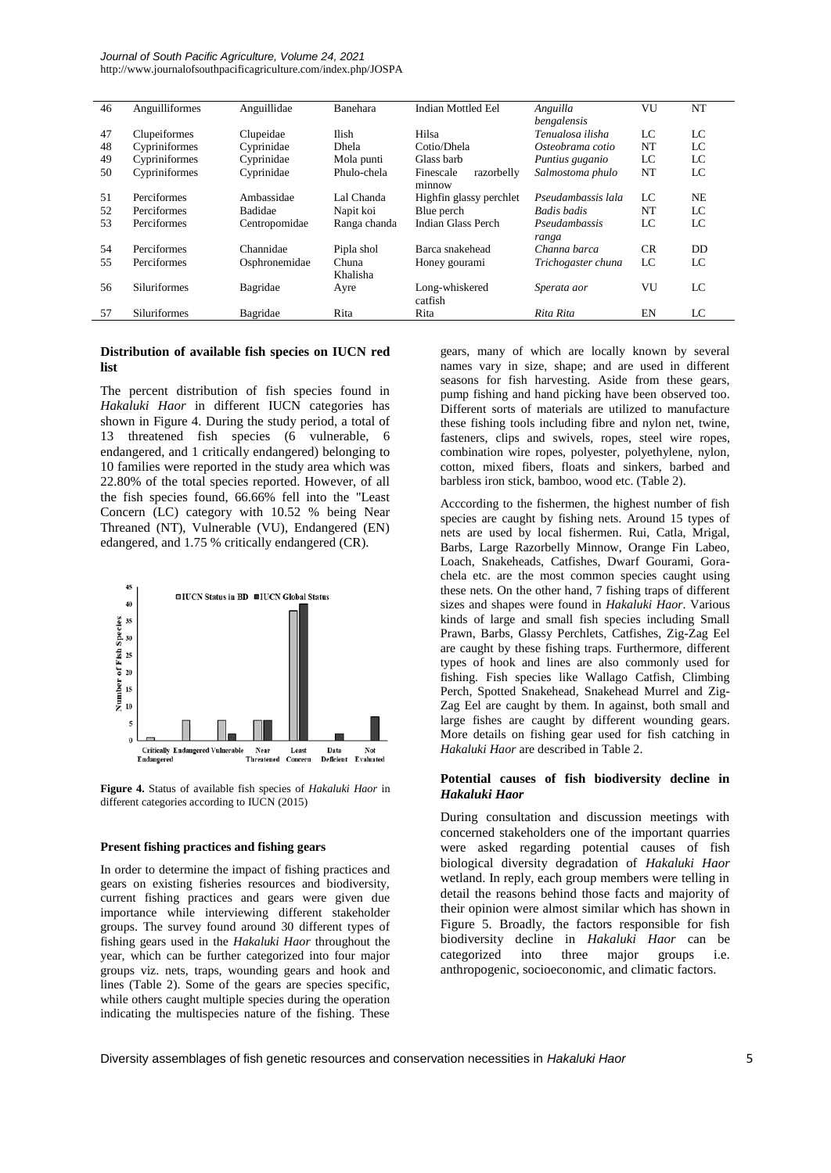*Journal of South Pacific Agriculture, Volume 24, 2021* http://www.journalofsouthpacificagriculture.com/index.php/JOSPA

| 46 | Anguilliformes      | Anguillidae   | Banehara     | Indian Mottled Eel      | Anguilla           | VU  | NT        |
|----|---------------------|---------------|--------------|-------------------------|--------------------|-----|-----------|
|    |                     |               |              |                         | bengalensis        |     |           |
| 47 | Clupeiformes        | Clupeidae     | Ilish        | Hilsa                   | Tenualosa ilisha   | LC  | LC        |
| 48 | Cypriniformes       | Cyprinidae    | <b>Dhela</b> | Cotio/Dhela             | Osteobrama cotio   | NT  | LC        |
| 49 | Cypriniformes       | Cyprinidae    | Mola punti   | Glass barb              | Puntius guganio    | LC  | LC        |
| 50 | Cypriniformes       | Cyprinidae    | Phulo-chela  | razorbelly<br>Finescale | Salmostoma phulo   | NT  | LC        |
|    |                     |               |              | minnow                  |                    |     |           |
| 51 | Perciformes         | Ambassidae    | Lal Chanda   | Highfin glassy perchlet | Pseudambassis lala | LC  | <b>NE</b> |
| 52 | Perciformes         | Badidae       | Napit koi    | Blue perch              | Badis badis        | NT  | LC        |
| 53 | Perciformes         | Centropomidae | Ranga chanda | Indian Glass Perch      | Pseudambassis      | LC  | LC        |
|    |                     |               |              |                         | ranga              |     |           |
| 54 | Perciformes         | Channidae     | Pipla shol   | Barca snakehead         | Channa barca       | CR. | <b>DD</b> |
| 55 | Perciformes         | Osphronemidae | Chuna        | Honey gourami           | Trichogaster chuna | LC  | LC        |
|    |                     |               | Khalisha     |                         |                    |     |           |
| 56 | <b>Siluriformes</b> | Bagridae      | Ayre         | Long-whiskered          | Sperata aor        | VU  | LC        |
|    |                     |               |              | catfish                 |                    |     |           |
| 57 | Siluriformes        | Bagridae      | Rita         | Rita                    | Rita Rita          | EN  | LC        |

## **Distribution of available fish species on IUCN red list**

The percent distribution of fish species found in *Hakaluki Haor* in different IUCN categories has shown in Figure 4. During the study period, a total of 13 threatened fish species (6 vulnerable, 6 endangered, and 1 critically endangered) belonging to 10 families were reported in the study area which was 22.80% of the total species reported. However, of all the fish species found, 66.66% fell into the "Least Concern (LC) category with 10.52 % being Near Threaned (NT), Vulnerable (VU), Endangered (EN) edangered, and 1.75 % critically endangered (CR).



**Figure 4.** Status of available fish species of *Hakaluki Haor* in different categories according to IUCN (2015)

#### **Present fishing practices and fishing gears**

In order to determine the impact of fishing practices and gears on existing fisheries resources and biodiversity, current fishing practices and gears were given due importance while interviewing different stakeholder groups. The survey found around 30 different types of fishing gears used in the *Hakaluki Haor* throughout the year, which can be further categorized into four major groups viz. nets, traps, wounding gears and hook and lines (Table 2). Some of the gears are species specific, while others caught multiple species during the operation indicating the multispecies nature of the fishing. These

gears, many of which are locally known by several names vary in size, shape; and are used in different seasons for fish harvesting. Aside from these gears, pump fishing and hand picking have been observed too. Different sorts of materials are utilized to manufacture these fishing tools including fibre and nylon net, twine, fasteners, clips and swivels, ropes, steel wire ropes, combination wire ropes, polyester, polyethylene, nylon, cotton, mixed fibers, floats and sinkers, barbed and barbless iron stick, bamboo, wood etc. (Table 2).

Acccording to the fishermen, the highest number of fish species are caught by fishing nets. Around 15 types of nets are used by local fishermen. Rui, Catla, Mrigal, Barbs, Large Razorbelly Minnow, Orange Fin Labeo, Loach, Snakeheads, Catfishes, Dwarf Gourami, Gorachela etc. are the most common species caught using these nets. On the other hand, 7 fishing traps of different sizes and shapes were found in *Hakaluki Haor*. Various kinds of large and small fish species including Small Prawn, Barbs, Glassy Perchlets, Catfishes, Zig-Zag Eel are caught by these fishing traps. Furthermore, different types of hook and lines are also commonly used for fishing. Fish species like Wallago Catfish, Climbing Perch, Spotted Snakehead, Snakehead Murrel and Zig-Zag Eel are caught by them. In against, both small and large fishes are caught by different wounding gears. More details on fishing gear used for fish catching in *Hakaluki Haor* are described in Table 2.

## **Potential causes of fish biodiversity decline in**  *Hakaluki Haor*

During consultation and discussion meetings with concerned stakeholders one of the important quarries were asked regarding potential causes of fish biological diversity degradation of *Hakaluki Haor* wetland. In reply, each group members were telling in detail the reasons behind those facts and majority of their opinion were almost similar which has shown in Figure 5. Broadly, the factors responsible for fish biodiversity decline in *Hakaluki Haor* can be categorized into three major groups i.e. anthropogenic, socioeconomic, and climatic factors.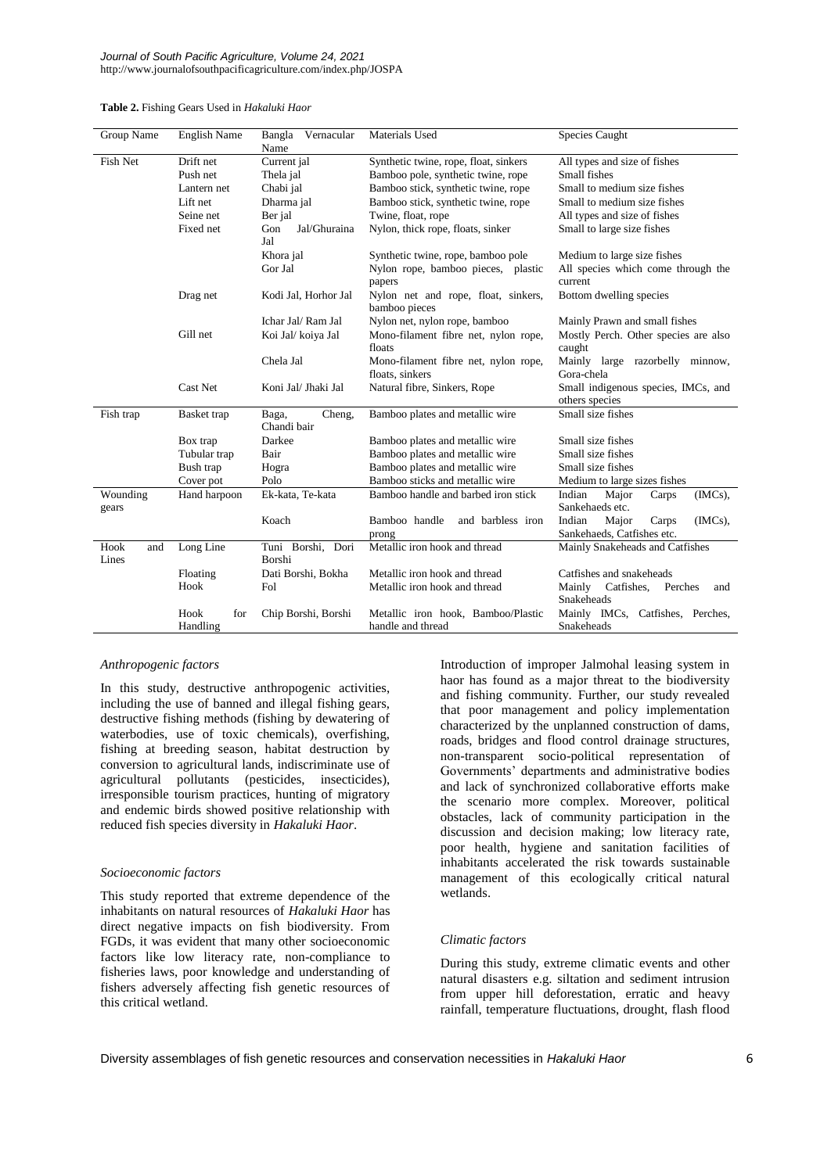| Table 2. Fishing Gears Used in Hakaluki Haor |  |  |
|----------------------------------------------|--|--|
|----------------------------------------------|--|--|

| Group Name           | <b>English Name</b>     | Vernacular<br>Bangla<br>Name   | Materials Used                                          | Species Caught                                           |  |
|----------------------|-------------------------|--------------------------------|---------------------------------------------------------|----------------------------------------------------------|--|
| Fish Net             | Drift net               | Current jal                    | Synthetic twine, rope, float, sinkers                   | All types and size of fishes                             |  |
|                      | Push net                | Thela jal                      | Bamboo pole, synthetic twine, rope                      | Small fishes                                             |  |
|                      | Lantern net             | Chabi jal                      | Bamboo stick, synthetic twine, rope                     | Small to medium size fishes                              |  |
|                      | Lift net                | Dharma jal                     | Bamboo stick, synthetic twine, rope                     | Small to medium size fishes                              |  |
|                      | Seine net               | Ber jal                        | Twine, float, rope                                      | All types and size of fishes                             |  |
|                      | Fixed net               | Gon<br>Jal/Ghuraina<br>Jal     | Nylon, thick rope, floats, sinker                       | Small to large size fishes                               |  |
|                      |                         | Khora jal                      | Synthetic twine, rope, bamboo pole                      | Medium to large size fishes                              |  |
|                      |                         | Gor Jal                        | Nylon rope, bamboo pieces, plastic<br>papers            | All species which come through the<br>current            |  |
|                      | Drag net                | Kodi Jal, Horhor Jal           | Nylon net and rope, float, sinkers,<br>bamboo pieces    | Bottom dwelling species                                  |  |
|                      |                         | Ichar Jal/Ram Jal              | Nylon net, nylon rope, bamboo                           | Mainly Prawn and small fishes                            |  |
|                      | Gill net                | Koi Jal/ koiya Jal             | Mono-filament fibre net, nylon rope,<br>floats          | Mostly Perch. Other species are also<br>caught           |  |
|                      |                         | Chela Jal                      | Mono-filament fibre net, nylon rope,                    | Mainly large razorbelly minnow,                          |  |
|                      |                         |                                | floats, sinkers                                         | Gora-chela                                               |  |
|                      | Cast Net                | Koni Jal/ Jhaki Jal            | Natural fibre, Sinkers, Rope                            | Small indigenous species, IMCs, and<br>others species    |  |
| Fish trap            | Basket trap             | Cheng,<br>Baga,<br>Chandi bair | Bamboo plates and metallic wire                         | Small size fishes                                        |  |
|                      | Box trap                | Darkee                         | Bamboo plates and metallic wire                         | Small size fishes                                        |  |
|                      | Tubular trap            | Bair                           | Bamboo plates and metallic wire                         | Small size fishes                                        |  |
|                      | Bush trap               | Hogra                          | Bamboo plates and metallic wire                         | Small size fishes                                        |  |
|                      | Cover pot               | Polo                           | Bamboo sticks and metallic wire                         | Medium to large sizes fishes                             |  |
| Wounding<br>gears    | Hand harpoon            | Ek-kata, Te-kata               | Bamboo handle and barbed iron stick                     | Indian<br>$(MCs)$ ,<br>Major<br>Carps<br>Sankehaeds etc. |  |
|                      |                         | Koach                          | Bamboo handle<br>and barbless iron                      | Indian<br>$(MCs)$ ,<br>Major<br>Carps                    |  |
|                      |                         |                                | prong                                                   | Sankehaeds, Catfishes etc.                               |  |
| Hook<br>and<br>Lines | Long Line               | Tuni Borshi, Dori<br>Borshi    | Metallic iron hook and thread                           | Mainly Snakeheads and Catfishes                          |  |
|                      | Floating                | Dati Borshi, Bokha             | Metallic iron hook and thread                           | Catfishes and snakeheads                                 |  |
|                      | Hook                    | Fol                            | Metallic iron hook and thread                           | Mainly<br>Catfishes,<br>Perches<br>and<br>Snakeheads     |  |
|                      | Hook<br>for<br>Handling | Chip Borshi, Borshi            | Metallic iron hook, Bamboo/Plastic<br>handle and thread | Mainly IMCs, Catfishes, Perches,<br>Snakeheads           |  |

## *Anthropogenic factors*

In this study, destructive anthropogenic activities, including the use of banned and illegal fishing gears, destructive fishing methods (fishing by dewatering of waterbodies, use of toxic chemicals), overfishing, fishing at breeding season, habitat destruction by conversion to agricultural lands, indiscriminate use of agricultural pollutants (pesticides, insecticides), irresponsible tourism practices, hunting of migratory and endemic birds showed positive relationship with reduced fish species diversity in *Hakaluki Haor*.

## *Socioeconomic factors*

This study reported that extreme dependence of the inhabitants on natural resources of *Hakaluki Haor* has direct negative impacts on fish biodiversity. From FGDs, it was evident that many other socioeconomic factors like low literacy rate, non-compliance to fisheries laws, poor knowledge and understanding of fishers adversely affecting fish genetic resources of this critical wetland.

Introduction of improper Jalmohal leasing system in haor has found as a major threat to the biodiversity and fishing community. Further, our study revealed that poor management and policy implementation characterized by the unplanned construction of dams, roads, bridges and flood control drainage structures, non-transparent socio-political representation of Governments' departments and administrative bodies and lack of synchronized collaborative efforts make the scenario more complex. Moreover, political obstacles, lack of community participation in the discussion and decision making; low literacy rate, poor health, hygiene and sanitation facilities of inhabitants accelerated the risk towards sustainable management of this ecologically critical natural wetlands.

## *Climatic factors*

During this study, extreme climatic events and other natural disasters e.g. siltation and sediment intrusion from upper hill deforestation, erratic and heavy rainfall, temperature fluctuations, drought, flash flood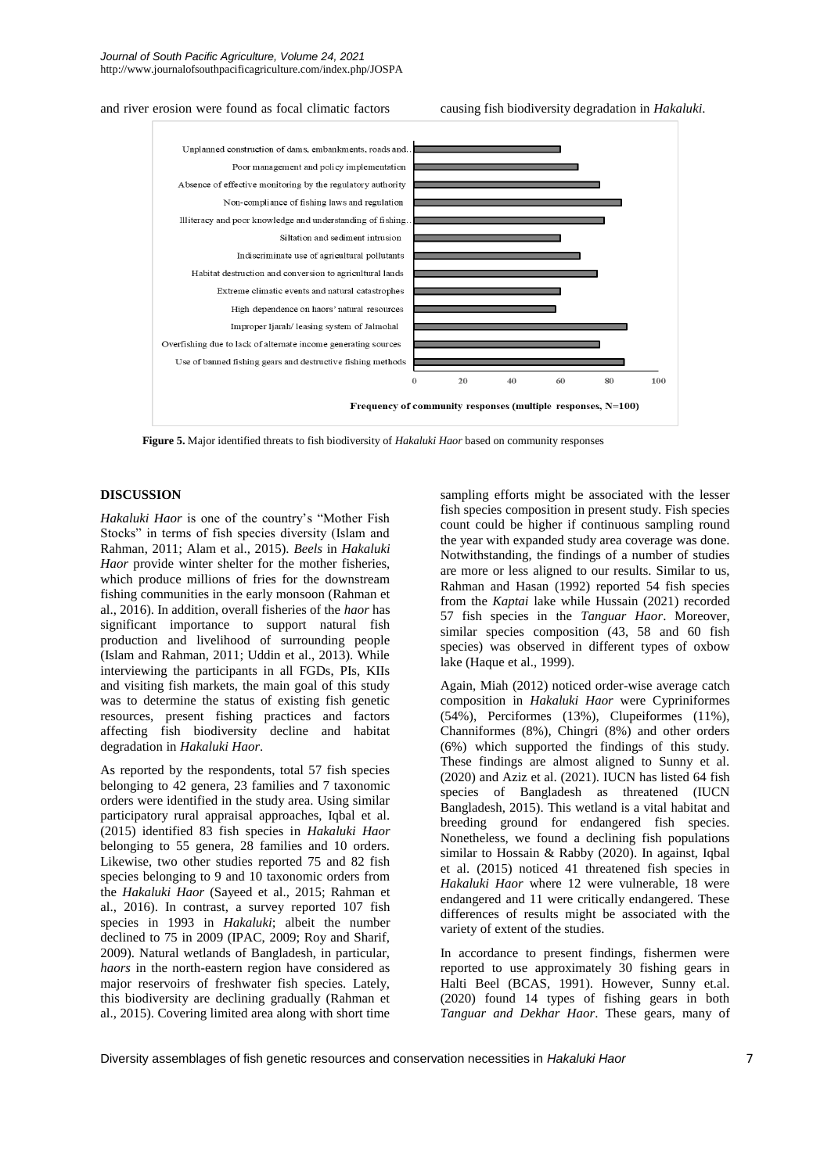and river erosion were found as focal climatic factors causing fish biodiversity degradation in *Hakaluki*.



 **Figure 5.** Major identified threats to fish biodiversity of *Hakaluki Haor* based on community responses

## **DISCUSSION**

*Hakaluki Haor* is one of the country's "Mother Fish Stocks" in terms of fish species diversity (Islam and Rahman, 2011; Alam et al., 2015). *Beels* in *Hakaluki Haor* provide winter shelter for the mother fisheries, which produce millions of fries for the downstream fishing communities in the early monsoon (Rahman et al., 2016). In addition, overall fisheries of the *haor* has significant importance to support natural fish production and livelihood of surrounding people (Islam and Rahman, 2011; Uddin et al., 2013). While interviewing the participants in all FGDs, PIs, KIIs and visiting fish markets, the main goal of this study was to determine the status of existing fish genetic resources, present fishing practices and factors affecting fish biodiversity decline and habitat degradation in *Hakaluki Haor*.

As reported by the respondents, total 57 fish species belonging to 42 genera, 23 families and 7 taxonomic orders were identified in the study area. Using similar participatory rural appraisal approaches, Iqbal et al. (2015) identified 83 fish species in *Hakaluki Haor* belonging to 55 genera, 28 families and 10 orders. Likewise, two other studies reported 75 and 82 fish species belonging to 9 and 10 taxonomic orders from the *Hakaluki Haor* (Sayeed et al., 2015; Rahman et al., 2016). In contrast, a survey reported 107 fish species in 1993 in *Hakaluki*; albeit the number declined to 75 in 2009 (IPAC, 2009; Roy and Sharif, 2009). Natural wetlands of Bangladesh, in particular, *haors* in the north-eastern region have considered as major reservoirs of freshwater fish species. Lately, this biodiversity are declining gradually (Rahman et al., 2015). Covering limited area along with short time

sampling efforts might be associated with the lesser fish species composition in present study. Fish species count could be higher if continuous sampling round the year with expanded study area coverage was done. Notwithstanding, the findings of a number of studies are more or less aligned to our results. Similar to us, Rahman and Hasan (1992) reported 54 fish species from the *Kaptai* lake while Hussain (2021) recorded 57 fish species in the *Tanguar Haor*. Moreover, similar species composition (43, 58 and 60 fish species) was observed in different types of oxbow lake (Haque et al., 1999).

Again, Miah (2012) noticed order-wise average catch composition in *Hakaluki Haor* were Cypriniformes (54%), Perciformes (13%), Clupeiformes (11%), Channiformes (8%), Chingri (8%) and other orders (6%) which supported the findings of this study. These findings are almost aligned to Sunny et al. (2020) and Aziz et al. (2021). IUCN has listed 64 fish species of Bangladesh as threatened (IUCN Bangladesh, 2015). This wetland is a vital habitat and breeding ground for endangered fish species. Nonetheless, we found a declining fish populations similar to Hossain & Rabby (2020). In against, Iqbal et al. (2015) noticed 41 threatened fish species in *Hakaluki Haor* where 12 were vulnerable, 18 were endangered and 11 were critically endangered. These differences of results might be associated with the variety of extent of the studies.

In accordance to present findings, fishermen were reported to use approximately 30 fishing gears in Halti Beel (BCAS, 1991). However, Sunny et.al. (2020) found 14 types of fishing gears in both *Tanguar and Dekhar Haor*. These gears, many of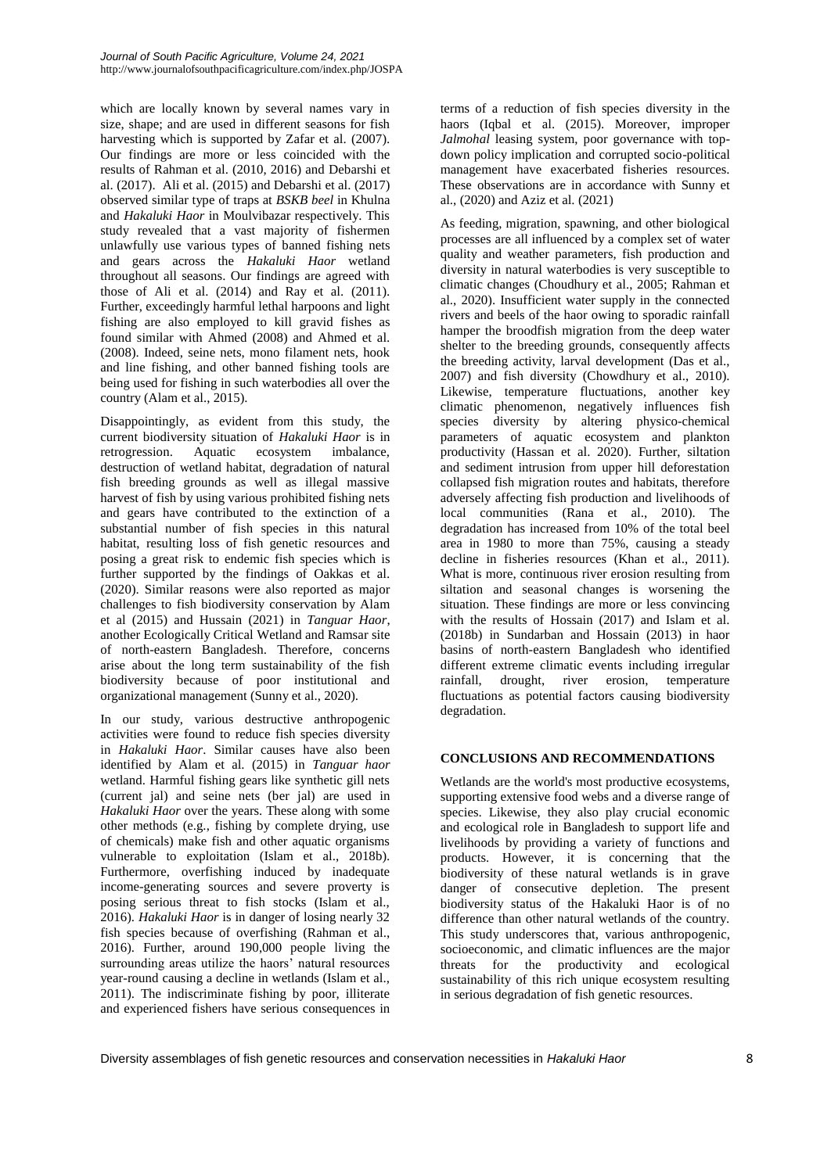which are locally known by several names vary in size, shape; and are used in different seasons for fish harvesting which is supported by Zafar et al. (2007). Our findings are more or less coincided with the results of Rahman et al. (2010, 2016) and Debarshi et al. (2017). Ali et al. (2015) and Debarshi et al. (2017) observed similar type of traps at *BSKB beel* in Khulna and *Hakaluki Haor* in Moulvibazar respectively. This study revealed that a vast majority of fishermen unlawfully use various types of banned fishing nets and gears across the *Hakaluki Haor* wetland throughout all seasons. Our findings are agreed with those of Ali et al. (2014) and Ray et al. (2011). Further, exceedingly harmful lethal harpoons and light fishing are also employed to kill gravid fishes as found similar with Ahmed (2008) and Ahmed et al. (2008). Indeed, seine nets, mono filament nets, hook and line fishing, and other banned fishing tools are being used for fishing in such waterbodies all over the country (Alam et al., 2015).

Disappointingly, as evident from this study, the current biodiversity situation of *Hakaluki Haor* is in retrogression. Aquatic ecosystem imbalance, destruction of wetland habitat, degradation of natural fish breeding grounds as well as illegal massive harvest of fish by using various prohibited fishing nets and gears have contributed to the extinction of a substantial number of fish species in this natural habitat, resulting loss of fish genetic resources and posing a great risk to endemic fish species which is further supported by the findings of Oakkas et al. (2020). Similar reasons were also reported as major challenges to fish biodiversity conservation by Alam et al (2015) and Hussain (2021) in *Tanguar Haor*, another Ecologically Critical Wetland and Ramsar site of north-eastern Bangladesh. Therefore, concerns arise about the long term sustainability of the fish biodiversity because of poor institutional and organizational management (Sunny et al., 2020).

In our study, various destructive anthropogenic activities were found to reduce fish species diversity in *Hakaluki Haor*. Similar causes have also been identified by Alam et al. (2015) in *Tanguar haor* wetland. Harmful fishing gears like synthetic gill nets (current jal) and seine nets (ber jal) are used in *Hakaluki Haor* over the years. These along with some other methods (e.g., fishing by complete drying, use of chemicals) make fish and other aquatic organisms vulnerable to exploitation (Islam et al., 2018b). Furthermore, overfishing induced by inadequate income-generating sources and severe proverty is posing serious threat to fish stocks (Islam et al., 2016). *Hakaluki Haor* is in danger of losing nearly 32 fish species because of overfishing (Rahman et al., 2016). Further, around 190,000 people living the surrounding areas utilize the haors' natural resources year-round causing a decline in wetlands (Islam et al., 2011). The indiscriminate fishing by poor, illiterate and experienced fishers have serious consequences in

terms of a reduction of fish species diversity in the haors (Iqbal et al. (2015). Moreover, improper *Jalmohal* leasing system, poor governance with topdown policy implication and corrupted socio-political management have exacerbated fisheries resources. These observations are in accordance with Sunny et al., (2020) and Aziz et al. (2021)

As feeding, migration, spawning, and other biological processes are all influenced by a complex set of water quality and weather parameters, fish production and diversity in natural waterbodies is very susceptible to climatic changes (Choudhury et al., 2005; Rahman et al., 2020). Insufficient water supply in the connected rivers and beels of the haor owing to sporadic rainfall hamper the broodfish migration from the deep water shelter to the breeding grounds, consequently affects the breeding activity, larval development (Das et al., 2007) and fish diversity (Chowdhury et al., 2010). Likewise, temperature fluctuations, another key climatic phenomenon, negatively influences fish species diversity by altering physico-chemical parameters of aquatic ecosystem and plankton productivity (Hassan et al. 2020). Further, siltation and sediment intrusion from upper hill deforestation collapsed fish migration routes and habitats, therefore adversely affecting fish production and livelihoods of local communities (Rana et al., 2010). The degradation has increased from 10% of the total beel area in 1980 to more than 75%, causing a steady decline in fisheries resources (Khan et al., 2011). What is more, continuous river erosion resulting from siltation and seasonal changes is worsening the situation. These findings are more or less convincing with the results of Hossain (2017) and Islam et al. (2018b) in Sundarban and Hossain (2013) in haor basins of north-eastern Bangladesh who identified different extreme climatic events including irregular rainfall, drought, river erosion, temperature fluctuations as potential factors causing biodiversity degradation.

## **CONCLUSIONS AND RECOMMENDATIONS**

Wetlands are the world's most productive ecosystems, supporting extensive food webs and a diverse range of species. Likewise, they also play crucial economic and ecological role in Bangladesh to support life and livelihoods by providing a variety of functions and products. However, it is concerning that the biodiversity of these natural wetlands is in grave danger of consecutive depletion. The present biodiversity status of the Hakaluki Haor is of no difference than other natural wetlands of the country. This study underscores that, various anthropogenic, socioeconomic, and climatic influences are the major threats for the productivity and ecological sustainability of this rich unique ecosystem resulting in serious degradation of fish genetic resources.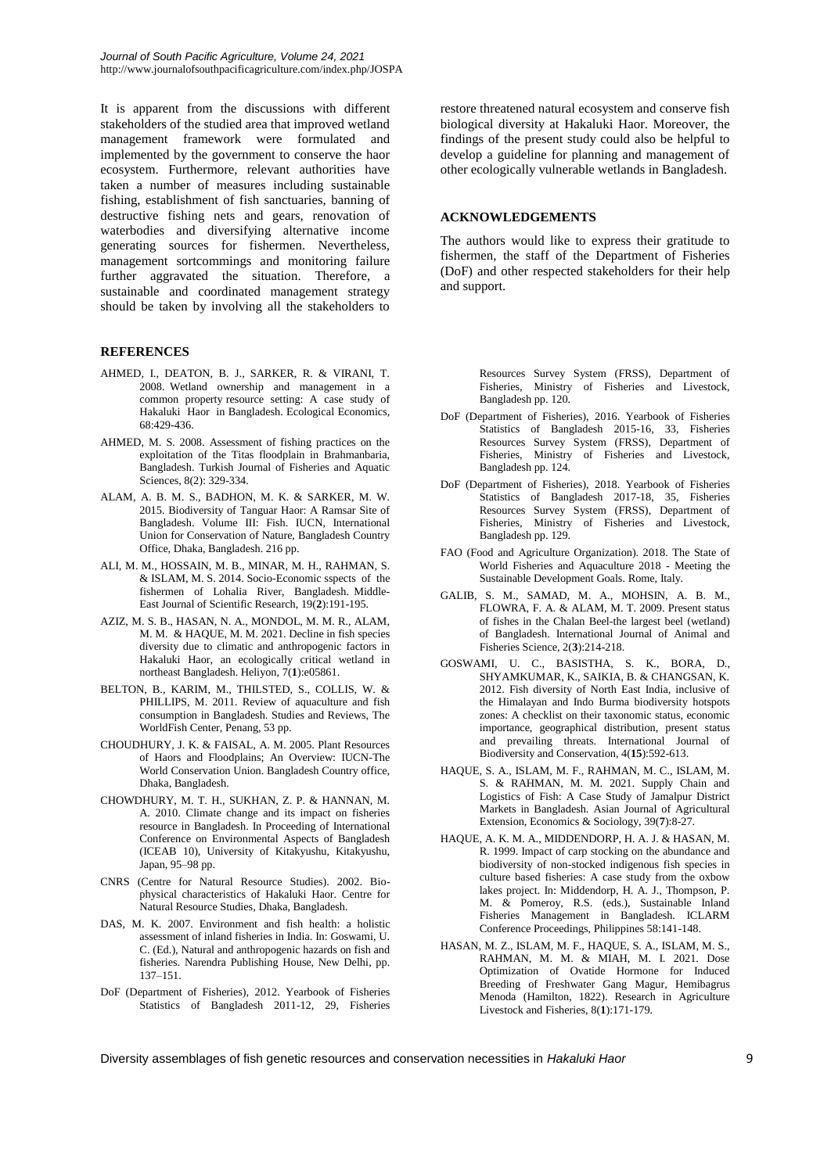It is apparent from the discussions with different stakeholders of the studied area that improved wetland management framework were formulated and implemented by the government to conserve the haor ecosystem. Furthermore, relevant authorities have taken a number of measures including sustainable fishing, establishment of fish sanctuaries, banning of destructive fishing nets and gears, renovation of waterbodies and diversifying alternative income generating sources for fishermen. Nevertheless, management sortcommings and monitoring failure further aggravated the situation. Therefore, a sustainable and coordinated management strategy should be taken by involving all the stakeholders to

## **REFERENCES**

- AHMED, I., DEATON, B. J., SARKER, R. & VIRANI, T. 2008. Wetland ownership and management in a common property resource setting: A case study of Hakaluki Haor in Bangladesh. Ecological Economics, 68:429-436.
- AHMED, M. S. 2008. Assessment of fishing practices on the exploitation of the Titas floodplain in Brahmanbaria, Bangladesh. Turkish Journal of Fisheries and Aquatic Sciences, 8(2): 329-334.
- ALAM, A. B. M. S., BADHON, M. K. & SARKER, M. W. 2015. Biodiversity of Tanguar Haor: A Ramsar Site of Bangladesh. Volume III: Fish. IUCN, International Union for Conservation of Nature, Bangladesh Country Office, Dhaka, Bangladesh. 216 pp.
- ALI, M. M., HOSSAIN, M. B., MINAR, M. H., RAHMAN, S. & ISLAM, M. S. 2014. Socio-Economic sspects of the fishermen of Lohalia River, Bangladesh. Middle-East Journal of Scientific Research, 19(**2**):191-195.
- AZIZ, M. S. B., HASAN, N. A., MONDOL, M. M. R., ALAM, M. M. & HAQUE, M. M. 2021. Decline in fish species diversity due to climatic and anthropogenic factors in Hakaluki Haor, an ecologically critical wetland in northeast Bangladesh. Heliyon, 7(**1**):e05861.
- BELTON, B., KARIM, M., THILSTED, S., COLLIS, W. & PHILLIPS, M. 2011. Review of aquaculture and fish consumption in Bangladesh. Studies and Reviews, The WorldFish Center, Penang, 53 pp.
- CHOUDHURY, J. K. & FAISAL, A. M. 2005. Plant Resources of Haors and Floodplains; An Overview: IUCN-The World Conservation Union. Bangladesh Country office, Dhaka, Bangladesh.
- CHOWDHURY, M. T. H., SUKHAN, Z. P. & HANNAN, M. A. 2010. Climate change and its impact on fisheries resource in Bangladesh. In Proceeding of International Conference on Environmental Aspects of Bangladesh (ICEAB 10), University of Kitakyushu, Kitakyushu, Japan, 95–98 pp.
- CNRS (Centre for Natural Resource Studies). 2002. Biophysical characteristics of Hakaluki Haor. Centre for Natural Resource Studies, Dhaka, Bangladesh.
- DAS, M. K. 2007. Environment and fish health: a holistic assessment of inland fisheries in India. In: Goswami, U. C. (Ed.), Natural and anthropogenic hazards on fish and fisheries. Narendra Publishing House, New Delhi, pp. 137–151.
- DoF (Department of Fisheries), 2012. Yearbook of Fisheries Statistics of Bangladesh 2011-12, 29, Fisheries

restore threatened natural ecosystem and conserve fish biological diversity at Hakaluki Haor. Moreover, the findings of the present study could also be helpful to develop a guideline for planning and management of other ecologically vulnerable wetlands in Bangladesh.

## **ACKNOWLEDGEMENTS**

The authors would like to express their gratitude to fishermen, the staff of the Department of Fisheries (DoF) and other respected stakeholders for their help and support.

> Resources Survey System (FRSS), Department of Fisheries, Ministry of Fisheries and Livestock, Bangladesh pp. 120.

- DoF (Department of Fisheries), 2016. Yearbook of Fisheries Statistics of Bangladesh 2015-16, 33, Fisheries Resources Survey System (FRSS), Department of Fisheries, Ministry of Fisheries and Livestock, Bangladesh pp. 124.
- DoF (Department of Fisheries), 2018. Yearbook of Fisheries Statistics of Bangladesh 2017-18, 35, Fisheries Resources Survey System (FRSS), Department of Fisheries, Ministry of Fisheries and Livestock, Bangladesh pp. 129.
- FAO (Food and Agriculture Organization). 2018. The State of World Fisheries and Aquaculture 2018 - Meeting the Sustainable Development Goals. Rome, Italy.
- GALIB, S. M., SAMAD, M. A., MOHSIN, A. B. M., FLOWRA, F. A. & ALAM, M. T. 2009. Present status of fishes in the Chalan Beel-the largest beel (wetland) of Bangladesh. International Journal of Animal and Fisheries Science, 2(**3**):214-218.
- GOSWAMI, U. C., BASISTHA, S. K., BORA, D., SHYAMKUMAR, K., SAIKIA, B. & CHANGSAN, K. 2012. Fish diversity of North East India, inclusive of the Himalayan and Indo Burma biodiversity hotspots zones: A checklist on their taxonomic status, economic importance, geographical distribution, present status and prevailing threats. International Journal of Biodiversity and Conservation, 4(**15**):592-613.
- HAQUE, S. A., ISLAM, M. F., RAHMAN, M. C., ISLAM, M. S. & RAHMAN, M. M. 2021. Supply Chain and Logistics of Fish: A Case Study of Jamalpur District Markets in Bangladesh. Asian Journal of Agricultural Extension, Economics & Sociology, 39(**7**):8-27.
- HAQUE, A. K. M. A., MIDDENDORP, H. A. J. & HASAN, M. R. 1999. Impact of carp stocking on the abundance and biodiversity of non-stocked indigenous fish species in culture based fisheries: A case study from the oxbow lakes project. In: Middendorp, H. A. J., Thompson, P. M. & Pomeroy, R.S. (eds.), Sustainable Inland Fisheries Management in Bangladesh. ICLARM Conference Proceedings, Philippines 58:141-148.
- HASAN, M. Z., ISLAM, M. F., HAQUE, S. A., ISLAM, M. S., RAHMAN, M. M. & MIAH, M. I. 2021. Dose Optimization of Ovatide Hormone for Induced Breeding of Freshwater Gang Magur, Hemibagrus Menoda (Hamilton, 1822). Research in Agriculture Livestock and Fisheries, 8(**1**):171-179.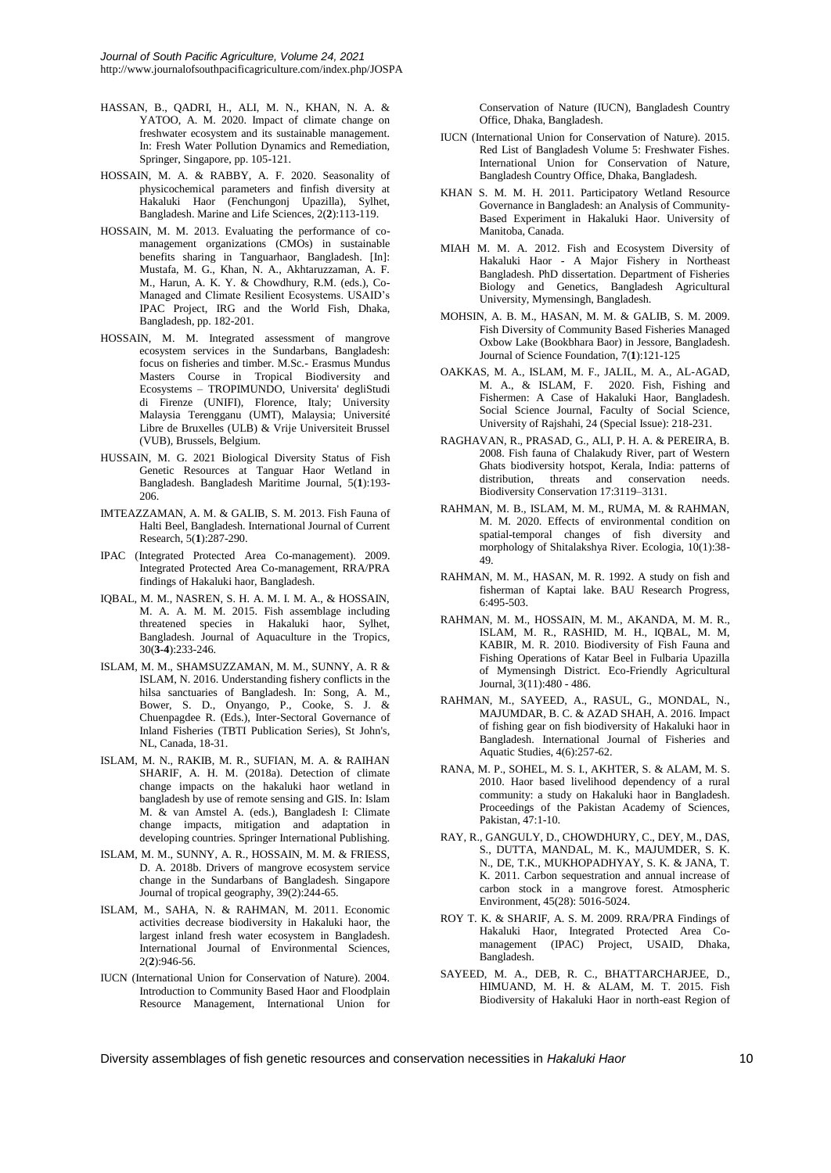- HASSAN, B., QADRI, H., ALI, M. N., KHAN, N. A. & YATOO, A. M. 2020. Impact of climate change on freshwater ecosystem and its sustainable management. In: Fresh Water Pollution Dynamics and Remediation, Springer, Singapore, pp. 105-121.
- HOSSAIN, M. A. & RABBY, A. F. 2020. Seasonality of physicochemical parameters and finfish diversity at Hakaluki Haor (Fenchungonj Upazilla), Sylhet, Bangladesh. Marine and Life Sciences, 2(**2**):113-119.
- HOSSAIN, M. M. 2013. Evaluating the performance of comanagement organizations (CMOs) in sustainable benefits sharing in Tanguarhaor, Bangladesh. [In]: Mustafa, M. G., Khan, N. A., Akhtaruzzaman, A. F. M., Harun, A. K. Y. & Chowdhury, R.M. (eds.), Co-Managed and Climate Resilient Ecosystems. USAID's IPAC Project, IRG and the World Fish, Dhaka, Bangladesh, pp. 182-201.
- HOSSAIN, M. M. Integrated assessment of mangrove ecosystem services in the Sundarbans, Bangladesh: focus on fisheries and timber. M.Sc.- Erasmus Mundus Masters Course in Tropical Biodiversity and Ecosystems – TROPIMUNDO, Universita' degliStudi di Firenze (UNIFI), Florence, Italy; University Malaysia Terengganu (UMT), Malaysia; Université Libre de Bruxelles (ULB) & Vrije Universiteit Brussel (VUB), Brussels, Belgium.
- HUSSAIN, M. G. 2021 Biological Diversity Status of Fish Genetic Resources at Tanguar Haor Wetland in Bangladesh. Bangladesh Maritime Journal, 5(**1**):193- 206.
- IMTEAZZAMAN, A. M. & GALIB, S. M. 2013. Fish Fauna of Halti Beel, Bangladesh. International Journal of Current Research, 5(**1**):287-290.
- IPAC (Integrated Protected Area Co-management). 2009. Integrated Protected Area Co-management, RRA/PRA findings of Hakaluki haor, Bangladesh.
- IQBAL, M. M., NASREN, S. H. A. M. I. M. A., & HOSSAIN, M. A. A. M. M. 2015. Fish assemblage including threatened species in Hakaluki haor, Sylhet, Bangladesh. Journal of Aquaculture in the Tropics, 30(**3-4**):233-246.
- ISLAM, M. M., SHAMSUZZAMAN, M. M., SUNNY, A. R & ISLAM, N. 2016. Understanding fishery conflicts in the hilsa sanctuaries of Bangladesh. In: Song, A. M., Bower, S. D., Onyango, P., Cooke, S. J. & Chuenpagdee R. (Eds.), Inter-Sectoral Governance of Inland Fisheries (TBTI Publication Series), St John's, NL, Canada, 18-31.
- ISLAM, M. N., RAKIB, M. R., SUFIAN, M. A. & RAIHAN SHARIF, A. H. M. (2018a). Detection of climate change impacts on the hakaluki haor wetland in bangladesh by use of remote sensing and GIS. In: Islam M. & van Amstel A. (eds.), Bangladesh I: Climate change impacts, mitigation and adaptation in developing countries. Springer International Publishing.
- ISLAM, M. M., SUNNY, A. R., HOSSAIN, M. M. & FRIESS, D. A. 2018b. Drivers of mangrove ecosystem service change in the Sundarbans of Bangladesh. Singapore Journal of tropical geography, 39(2):244-65.
- ISLAM, M., SAHA, N. & RAHMAN, M. 2011. Economic activities decrease biodiversity in Hakaluki haor, the largest inland fresh water ecosystem in Bangladesh. International Journal of Environmental Sciences, 2(**2**):946-56.
- IUCN (International Union for Conservation of Nature). 2004. Introduction to Community Based Haor and Floodplain Resource Management, International Union for

Conservation of Nature (IUCN), Bangladesh Country Office, Dhaka, Bangladesh.

- IUCN (International Union for Conservation of Nature). 2015. Red List of Bangladesh Volume 5: Freshwater Fishes. International Union for Conservation of Nature, Bangladesh Country Office, Dhaka, Bangladesh.
- KHAN S. M. M. H. 2011. Participatory Wetland Resource Governance in Bangladesh: an Analysis of Community-Based Experiment in Hakaluki Haor. University of Manitoba, Canada.
- MIAH M. M. A. 2012. Fish and Ecosystem Diversity of Hakaluki Haor - A Major Fishery in Northeast Bangladesh. PhD dissertation. Department of Fisheries Biology and Genetics, Bangladesh Agricultural University, Mymensingh, Bangladesh.
- MOHSIN, A. B. M., HASAN, M. M. & GALIB, S. M. 2009. Fish Diversity of Community Based Fisheries Managed Oxbow Lake (Bookbhara Baor) in Jessore, Bangladesh. Journal of Science Foundation, 7(**1**):121-125
- OAKKAS, M. A., ISLAM, M. F., JALIL, M. A., AL-AGAD, M. A., & ISLAM, F. 2020. Fish, Fishing and Fishermen: A Case of Hakaluki Haor, Bangladesh. Social Science Journal, Faculty of Social Science, University of Rajshahi, 24 (Special Issue): 218-231.
- RAGHAVAN, R., PRASAD, G., ALI, P. H. A. & PEREIRA, B. 2008. Fish fauna of Chalakudy River, part of Western Ghats biodiversity hotspot, Kerala, India: patterns of distribution, threats and conservation needs. Biodiversity Conservation 17:3119–3131.
- RAHMAN, M. B., ISLAM, M. M., RUMA, M. & RAHMAN, M. M. 2020. Effects of environmental condition on spatial-temporal changes of fish diversity and morphology of Shitalakshya River. Ecologia, 10(1):38- 49.
- RAHMAN, M. M., HASAN, M. R. 1992. A study on fish and fisherman of Kaptai lake. BAU Research Progress, 6:495-503.
- RAHMAN, M. M., HOSSAIN, M. M., AKANDA, M. M. R., ISLAM, M. R., RASHID, M. H., IQBAL, M. M, KABIR, M. R. 2010. Biodiversity of Fish Fauna and Fishing Operations of Katar Beel in Fulbaria Upazilla of Mymensingh District. Eco-Friendly Agricultural Journal, 3(11):480 - 486.
- RAHMAN, M., SAYEED, A., RASUL, G., MONDAL, N., MAJUMDAR, B. C. & AZAD SHAH, A. 2016. Impact of fishing gear on fish biodiversity of Hakaluki haor in Bangladesh. International Journal of Fisheries and Aquatic Studies, 4(6):257-62.
- RANA, M. P., SOHEL, M. S. I., AKHTER, S. & ALAM, M. S. 2010. Haor based livelihood dependency of a rural community: a study on Hakaluki haor in Bangladesh. Proceedings of the Pakistan Academy of Sciences, Pakistan, 47:1-10.
- RAY, R., GANGULY, D., CHOWDHURY, C., DEY, M., DAS, S., DUTTA, MANDAL, M. K., MAJUMDER, S. K. N., DE, T.K., MUKHOPADHYAY, S. K. & JANA, T. K. 2011. Carbon sequestration and annual increase of carbon stock in a mangrove forest. Atmospheric Environment, 45(28): 5016-5024.
- ROY T. K. & SHARIF, A. S. M. 2009. RRA/PRA Findings of Hakaluki Haor, Integrated Protected Area Comanagement (IPAC) Project, USAID, Dhaka, Bangladesh.
- SAYEED, M. A., DEB, R. C., BHATTARCHARJEE, D., HIMUAND, M. H. & ALAM, M. T. 2015. Fish Biodiversity of Hakaluki Haor in north-east Region of